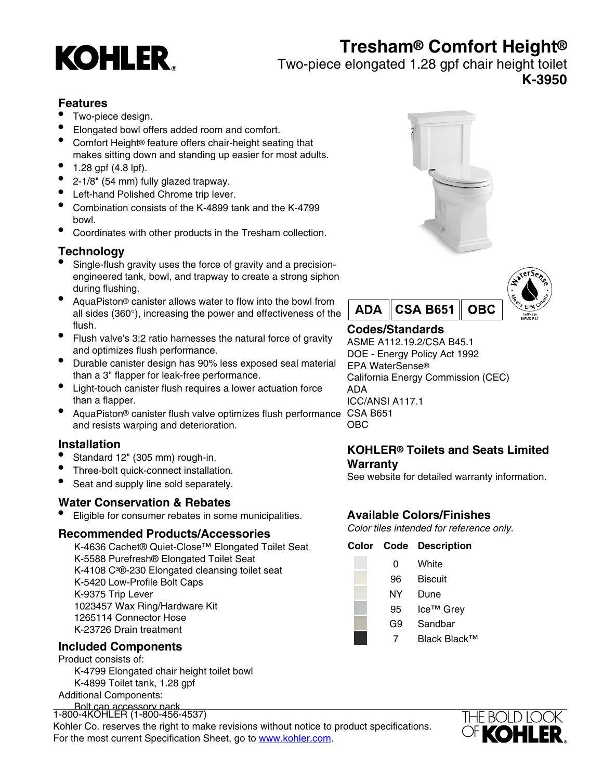# **Tresham® Comfort Height®**



## Two-piece elongated 1.28 gpf chair height toilet **K-3950**

## **Features**

- Two-piece design.
- Elongated bowl offers added room and comfort.
- Comfort Height® feature offers chair-height seating that makes sitting down and standing up easier for most adults.
- $1.28$  gpf (4.8 lpf).
- 2-1/8" (54 mm) fully glazed trapway.
- Left-hand Polished Chrome trip lever.
- Combination consists of the K-4899 tank and the K-4799 bowl.
- Coordinates with other products in the Tresham collection.

# **Technology**

- Single-flush gravity uses the force of gravity and a precisionengineered tank, bowl, and trapway to create a strong siphon during flushing.
- AquaPiston® canister allows water to flow into the bowl from all sides (360°), increasing the power and effectiveness of the flush.
- Flush valve's 3:2 ratio harnesses the natural force of gravity and optimizes flush performance.
- Durable canister design has 90% less exposed seal material than a 3" flapper for leak-free performance.
- Light-touch canister flush requires a lower actuation force than a flapper.
- AquaPiston® canister flush valve optimizes flush performance CSA B651 and resists warping and deterioration.

### **Installation**

- Standard 12" (305 mm) rough-in.
- Three-bolt quick-connect installation.
- Seat and supply line sold separately.

### **Water Conservation & Rebates**

Eligible for consumer rebates in some municipalities.

#### **Recommended Products/Accessories**

K-4636 Cachet® Quiet-Close™ Elongated Toilet Seat K-5588 Purefresh® Elongated Toilet Seat K-4108 C<sup>3</sup>®-230 Elongated cleansing toilet seat K-5420 Low-Profile Bolt Caps K-9375 Trip Lever 1023457 Wax Ring/Hardware Kit 1265114 Connector Hose K-23726 Drain treatment

# **Included Components**

Product consists of: K-4799 Elongated chair height toilet bowl K-4899 Toilet tank, 1.28 gpf Additional Components:

Bolt cap accessory pack 1-800-4KOHLER (1-800-456-4537)<br>|-

Kohler Co. reserves the right to make revisions without notice to product specifications. For the most current Specification Sheet, go to [www.kohler.com](http://www.kohler.com).





# **Codes/Standards**

ASME A112.19.2/CSA B45.1 DOE - Energy Policy Act 1992 EPA WaterSense® California Energy Commission (CEC) ADA ICC/ANSI A117.1 OBC

### **KOHLER® Toilets and Seats Limited Warranty**

See website for detailed warranty information.

# **Available Colors/Finishes**

Color tiles intended for reference only.

#### **Color Code Description**

- 0 White 96 Biscuit NY Dune 95 Ice™ Grev G9 Sandbar
	- 7 Black Black™